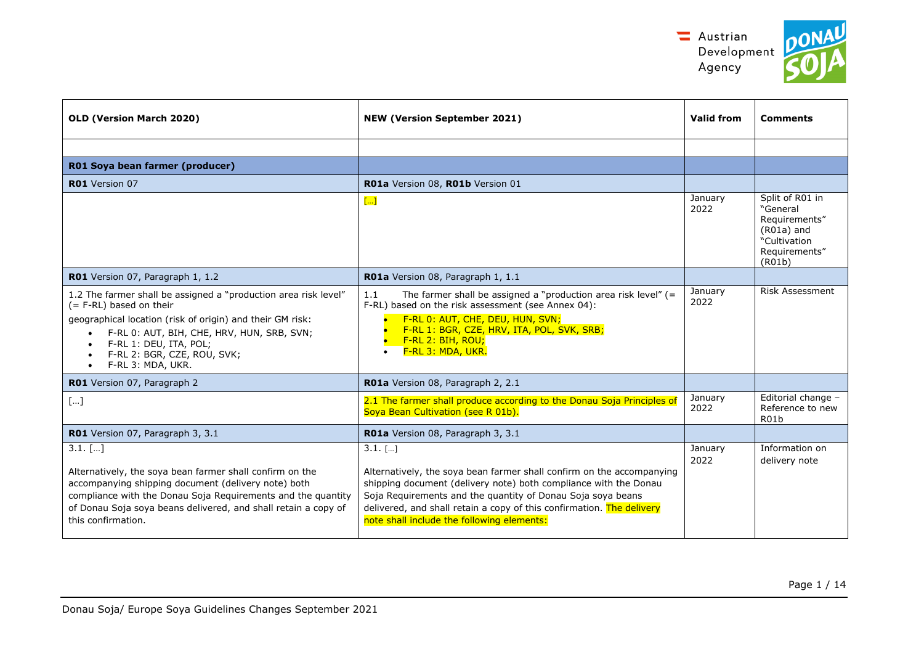

| <b>OLD (Version March 2020)</b>                                                                                                                                                                                                                                                                               | <b>NEW (Version September 2021)</b>                                                                                                                                                                                                                                                                                                          | <b>Valid from</b> | <b>Comments</b>                                                                                         |
|---------------------------------------------------------------------------------------------------------------------------------------------------------------------------------------------------------------------------------------------------------------------------------------------------------------|----------------------------------------------------------------------------------------------------------------------------------------------------------------------------------------------------------------------------------------------------------------------------------------------------------------------------------------------|-------------------|---------------------------------------------------------------------------------------------------------|
|                                                                                                                                                                                                                                                                                                               |                                                                                                                                                                                                                                                                                                                                              |                   |                                                                                                         |
| R01 Soya bean farmer (producer)                                                                                                                                                                                                                                                                               |                                                                                                                                                                                                                                                                                                                                              |                   |                                                                                                         |
| <b>R01</b> Version 07                                                                                                                                                                                                                                                                                         | RO1a Version 08, RO1b Version 01                                                                                                                                                                                                                                                                                                             |                   |                                                                                                         |
|                                                                                                                                                                                                                                                                                                               | $\left[\ldots\right]$                                                                                                                                                                                                                                                                                                                        | January<br>2022   | Split of R01 in<br>"General<br>Requirements"<br>$(R01a)$ and<br>"Cultivation<br>Requirements"<br>(R01b) |
| R01 Version 07, Paragraph 1, 1.2                                                                                                                                                                                                                                                                              | R01a Version 08, Paragraph 1, 1.1                                                                                                                                                                                                                                                                                                            |                   |                                                                                                         |
| 1.2 The farmer shall be assigned a "production area risk level"<br>(= F-RL) based on their<br>geographical location (risk of origin) and their GM risk:<br>F-RL 0: AUT, BIH, CHE, HRV, HUN, SRB, SVN;<br>F-RL 1: DEU, ITA, POL;<br>$\bullet$<br>F-RL 2: BGR, CZE, ROU, SVK;<br>F-RL 3: MDA, UKR.<br>$\bullet$ | The farmer shall be assigned a "production area risk level" $(=$<br>1.1<br>F-RL) based on the risk assessment (see Annex 04):<br>F-RL 0: AUT, CHE, DEU, HUN, SVN;<br>F-RL 1: BGR, CZE, HRV, ITA, POL, SVK, SRB;<br>F-RL 2: BIH, ROU;<br>F-RL 3: MDA, UKR.                                                                                    | January<br>2022   | Risk Assessment                                                                                         |
| <b>R01</b> Version 07, Paragraph 2                                                                                                                                                                                                                                                                            | RO1a Version 08, Paragraph 2, 2.1                                                                                                                                                                                                                                                                                                            |                   |                                                                                                         |
| []                                                                                                                                                                                                                                                                                                            | 2.1 The farmer shall produce according to the Donau Soja Principles of<br>Soya Bean Cultivation (see R 01b).                                                                                                                                                                                                                                 | January<br>2022   | Editorial change -<br>Reference to new<br>R <sub>01</sub> b                                             |
| RO1 Version 07, Paragraph 3, 3.1                                                                                                                                                                                                                                                                              | RO1a Version 08, Paragraph 3, 3.1                                                                                                                                                                                                                                                                                                            |                   |                                                                                                         |
| $3.1.$ []<br>Alternatively, the soya bean farmer shall confirm on the<br>accompanying shipping document (delivery note) both<br>compliance with the Donau Soja Requirements and the quantity<br>of Donau Soja soya beans delivered, and shall retain a copy of<br>this confirmation.                          | $3.1.$ []<br>Alternatively, the soya bean farmer shall confirm on the accompanying<br>shipping document (delivery note) both compliance with the Donau<br>Soja Requirements and the quantity of Donau Soja soya beans<br>delivered, and shall retain a copy of this confirmation. The delivery<br>note shall include the following elements: | January<br>2022   | Information on<br>delivery note                                                                         |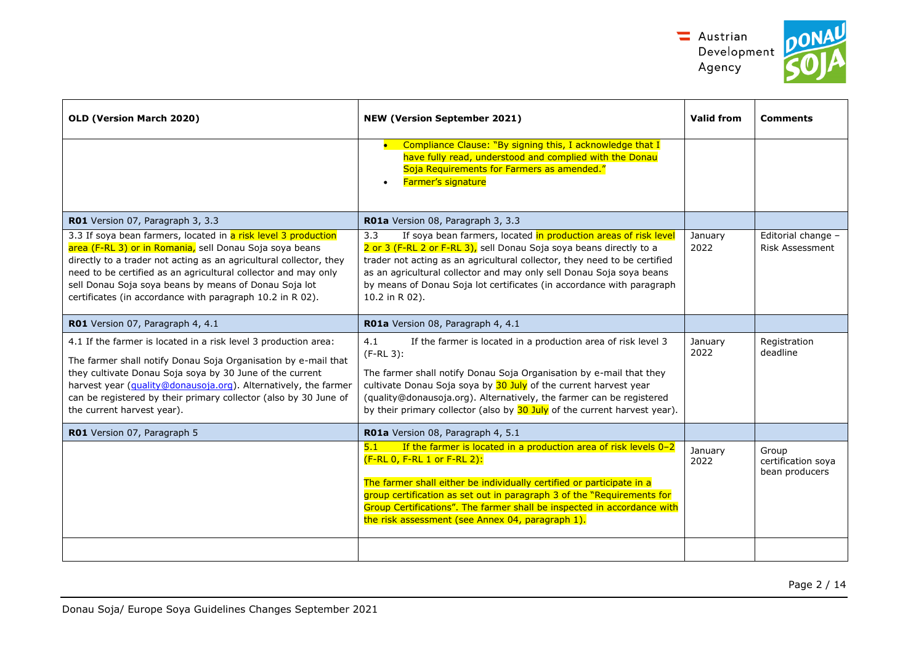



| OLD (Version March 2020)                                                                                                                                                                                                                                                                                                                                                                | <b>NEW (Version September 2021)</b>                                                                                                                                                                                                                                                                                                                                                           | Valid from      | <b>Comments</b>                               |
|-----------------------------------------------------------------------------------------------------------------------------------------------------------------------------------------------------------------------------------------------------------------------------------------------------------------------------------------------------------------------------------------|-----------------------------------------------------------------------------------------------------------------------------------------------------------------------------------------------------------------------------------------------------------------------------------------------------------------------------------------------------------------------------------------------|-----------------|-----------------------------------------------|
|                                                                                                                                                                                                                                                                                                                                                                                         | Compliance Clause: "By signing this, I acknowledge that I<br>have fully read, understood and complied with the Donau<br>Soja Requirements for Farmers as amended."<br>Farmer's signature                                                                                                                                                                                                      |                 |                                               |
| RO1 Version 07, Paragraph 3, 3.3                                                                                                                                                                                                                                                                                                                                                        | RO1a Version 08, Paragraph 3, 3.3                                                                                                                                                                                                                                                                                                                                                             |                 |                                               |
| 3.3 If soya bean farmers, located in a risk level 3 production<br>area (F-RL 3) or in Romania, sell Donau Soja soya beans<br>directly to a trader not acting as an agricultural collector, they<br>need to be certified as an agricultural collector and may only<br>sell Donau Soja soya beans by means of Donau Soja lot<br>certificates (in accordance with paragraph 10.2 in R 02). | If soya bean farmers, located in production areas of risk level<br>3.3<br>2 or 3 (F-RL 2 or F-RL 3), sell Donau Soja soya beans directly to a<br>trader not acting as an agricultural collector, they need to be certified<br>as an agricultural collector and may only sell Donau Soja soya beans<br>by means of Donau Soja lot certificates (in accordance with paragraph<br>10.2 in R 02). | January<br>2022 | Editorial change -<br>Risk Assessment         |
| R01 Version 07, Paragraph 4, 4.1                                                                                                                                                                                                                                                                                                                                                        | R01a Version 08, Paragraph 4, 4.1                                                                                                                                                                                                                                                                                                                                                             |                 |                                               |
| 4.1 If the farmer is located in a risk level 3 production area:<br>The farmer shall notify Donau Soja Organisation by e-mail that<br>they cultivate Donau Soja soya by 30 June of the current<br>harvest year (quality@donausoja.org). Alternatively, the farmer<br>can be registered by their primary collector (also by 30 June of<br>the current harvest year).                      | 4.1<br>If the farmer is located in a production area of risk level 3<br>$(F-RL 3)$ :<br>The farmer shall notify Donau Soja Organisation by e-mail that they<br>cultivate Donau Soja soya by 30 July of the current harvest year<br>(quality@donausoja.org). Alternatively, the farmer can be registered<br>by their primary collector (also by 30 July of the current harvest year).          | January<br>2022 | Registration<br>deadline                      |
| R01 Version 07, Paragraph 5                                                                                                                                                                                                                                                                                                                                                             | R01a Version 08, Paragraph 4, 5.1                                                                                                                                                                                                                                                                                                                                                             |                 |                                               |
|                                                                                                                                                                                                                                                                                                                                                                                         | If the farmer is located in a production area of risk levels 0-2<br>5.1<br>(F-RL 0, F-RL 1 or F-RL 2):<br>The farmer shall either be individually certified or participate in a<br>group certification as set out in paragraph 3 of the "Requirements for<br>Group Certifications". The farmer shall be inspected in accordance with<br>the risk assessment (see Annex 04, paragraph 1).      | January<br>2022 | Group<br>certification soya<br>bean producers |
|                                                                                                                                                                                                                                                                                                                                                                                         |                                                                                                                                                                                                                                                                                                                                                                                               |                 |                                               |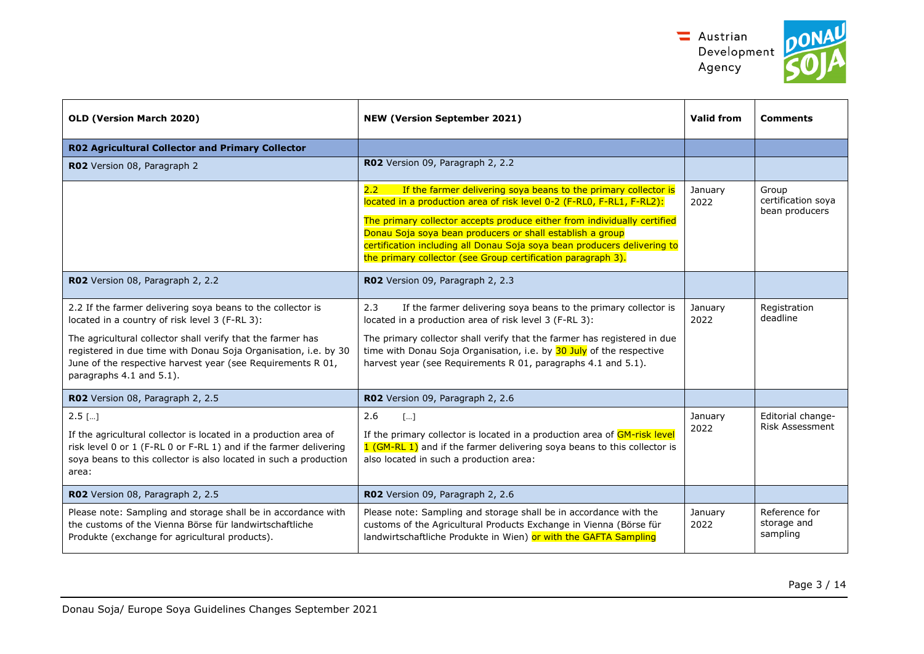



| OLD (Version March 2020)                                                                                                                                                                                                                                                                                                                   | <b>NEW (Version September 2021)</b>                                                                                                                                                                                                                                                                                                                                                                                                            | <b>Valid from</b> | <b>Comments</b>                               |
|--------------------------------------------------------------------------------------------------------------------------------------------------------------------------------------------------------------------------------------------------------------------------------------------------------------------------------------------|------------------------------------------------------------------------------------------------------------------------------------------------------------------------------------------------------------------------------------------------------------------------------------------------------------------------------------------------------------------------------------------------------------------------------------------------|-------------------|-----------------------------------------------|
| <b>R02 Agricultural Collector and Primary Collector</b>                                                                                                                                                                                                                                                                                    |                                                                                                                                                                                                                                                                                                                                                                                                                                                |                   |                                               |
| RO2 Version 08, Paragraph 2                                                                                                                                                                                                                                                                                                                | RO2 Version 09, Paragraph 2, 2.2                                                                                                                                                                                                                                                                                                                                                                                                               |                   |                                               |
|                                                                                                                                                                                                                                                                                                                                            | If the farmer delivering soya beans to the primary collector is<br>$2.2^{\circ}$<br>located in a production area of risk level 0-2 (F-RL0, F-RL1, F-RL2):<br>The primary collector accepts produce either from individually certified<br>Donau Soja soya bean producers or shall establish a group<br>certification including all Donau Soja soya bean producers delivering to<br>the primary collector (see Group certification paragraph 3). | January<br>2022   | Group<br>certification soya<br>bean producers |
| RO2 Version 08, Paragraph 2, 2.2                                                                                                                                                                                                                                                                                                           | RO2 Version 09, Paragraph 2, 2.3                                                                                                                                                                                                                                                                                                                                                                                                               |                   |                                               |
| 2.2 If the farmer delivering soya beans to the collector is<br>located in a country of risk level 3 (F-RL 3):<br>The agricultural collector shall verify that the farmer has<br>registered in due time with Donau Soja Organisation, i.e. by 30<br>June of the respective harvest year (see Requirements R 01,<br>paragraphs 4.1 and 5.1). | 2.3<br>If the farmer delivering soya beans to the primary collector is<br>located in a production area of risk level 3 (F-RL 3):<br>The primary collector shall verify that the farmer has registered in due<br>time with Donau Soja Organisation, i.e. by 30 July of the respective<br>harvest year (see Requirements R 01, paragraphs 4.1 and 5.1).                                                                                          | January<br>2022   | Registration<br>deadline                      |
| RO2 Version 08, Paragraph 2, 2.5                                                                                                                                                                                                                                                                                                           | RO2 Version 09, Paragraph 2, 2.6                                                                                                                                                                                                                                                                                                                                                                                                               |                   |                                               |
| $2.5$ []<br>If the agricultural collector is located in a production area of<br>risk level 0 or 1 (F-RL 0 or F-RL 1) and if the farmer delivering<br>soya beans to this collector is also located in such a production<br>area:                                                                                                            | 2.6<br>$\lceil  \rceil$<br>If the primary collector is located in a production area of GM-risk level<br>1 (GM-RL 1) and if the farmer delivering soya beans to this collector is<br>also located in such a production area:                                                                                                                                                                                                                    | January<br>2022   | Editorial change-<br><b>Risk Assessment</b>   |
| RO2 Version 08, Paragraph 2, 2.5                                                                                                                                                                                                                                                                                                           | RO2 Version 09, Paragraph 2, 2.6                                                                                                                                                                                                                                                                                                                                                                                                               |                   |                                               |
| Please note: Sampling and storage shall be in accordance with<br>the customs of the Vienna Börse für landwirtschaftliche<br>Produkte (exchange for agricultural products).                                                                                                                                                                 | Please note: Sampling and storage shall be in accordance with the<br>customs of the Agricultural Products Exchange in Vienna (Börse für<br>landwirtschaftliche Produkte in Wien) or with the GAFTA Sampling                                                                                                                                                                                                                                    | January<br>2022   | Reference for<br>storage and<br>sampling      |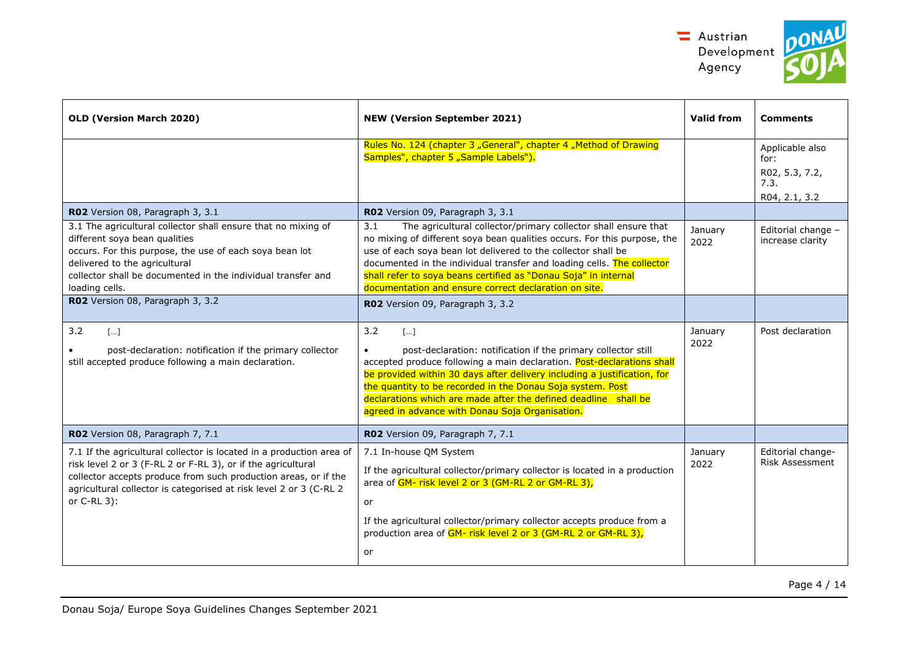

| ١t | ON |  |
|----|----|--|
|    |    |  |

| <b>NEW (Version September 2021)</b>                                                                                                                                                                                                                                                                                                                                                                                      | Valid from      | <b>Comments</b>                                                    |
|--------------------------------------------------------------------------------------------------------------------------------------------------------------------------------------------------------------------------------------------------------------------------------------------------------------------------------------------------------------------------------------------------------------------------|-----------------|--------------------------------------------------------------------|
| Rules No. 124 (chapter 3 "General", chapter 4 "Method of Drawing<br>Samples", chapter 5 "Sample Labels").                                                                                                                                                                                                                                                                                                                |                 | Applicable also<br>for:<br>R02, 5.3, 7.2,<br>7.3.<br>R04, 2.1, 3.2 |
| RO2 Version 09, Paragraph 3, 3.1                                                                                                                                                                                                                                                                                                                                                                                         |                 |                                                                    |
| The agricultural collector/primary collector shall ensure that<br>3.1<br>no mixing of different soya bean qualities occurs. For this purpose, the<br>use of each soya bean lot delivered to the collector shall be<br>documented in the individual transfer and loading cells. The collector<br>shall refer to soya beans certified as "Donau Soja" in internal<br>documentation and ensure correct declaration on site. | January<br>2022 | Editorial change -<br>increase clarity                             |
| RO2 Version 09, Paragraph 3, 3.2                                                                                                                                                                                                                                                                                                                                                                                         |                 |                                                                    |
| 3.2<br>$[]$<br>post-declaration: notification if the primary collector still<br>accepted produce following a main declaration. Post-declarations shall<br>be provided within 30 days after delivery including a justification, for<br>the quantity to be recorded in the Donau Soja system. Post<br>declarations which are made after the defined deadline shall be<br>agreed in advance with Donau Soja Organisation.   | January<br>2022 | Post declaration                                                   |
| RO2 Version 09, Paragraph 7, 7.1                                                                                                                                                                                                                                                                                                                                                                                         |                 |                                                                    |
| 7.1 In-house QM System<br>If the agricultural collector/primary collector is located in a production<br>area of GM- risk level 2 or 3 (GM-RL 2 or GM-RL 3),<br>or<br>If the agricultural collector/primary collector accepts produce from a<br>production area of GM- risk level 2 or 3 (GM-RL 2 or GM-RL 3),<br>or                                                                                                      | January<br>2022 | Editorial change-<br><b>Risk Assessment</b>                        |
| 7.1 If the agricultural collector is located in a production area of                                                                                                                                                                                                                                                                                                                                                     |                 |                                                                    |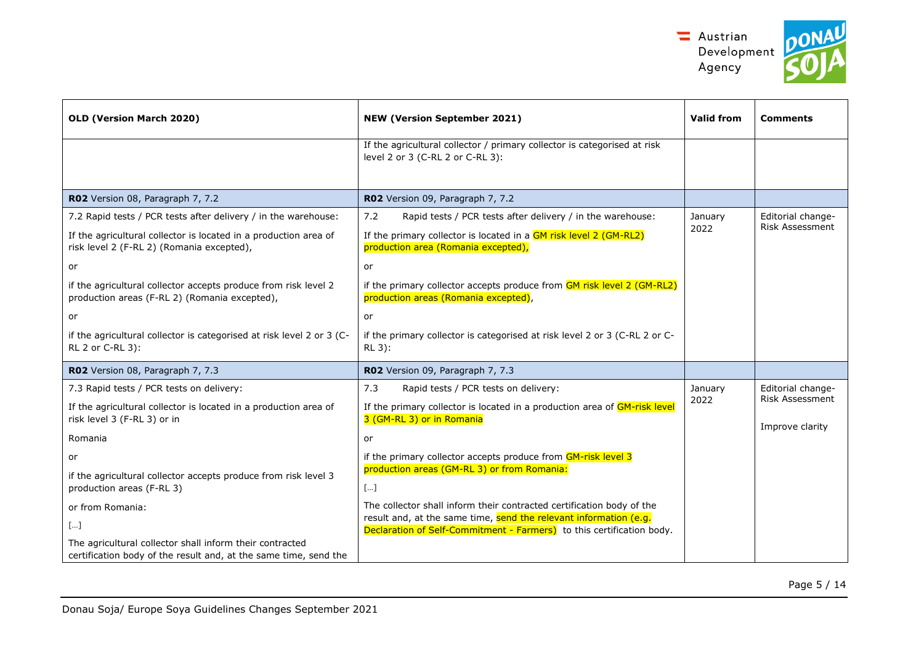

| OLD (Version March 2020)                                                                                                     | <b>NEW (Version September 2021)</b>                                                                                                        | <b>Valid from</b> | <b>Comments</b>                           |
|------------------------------------------------------------------------------------------------------------------------------|--------------------------------------------------------------------------------------------------------------------------------------------|-------------------|-------------------------------------------|
|                                                                                                                              | If the agricultural collector / primary collector is categorised at risk<br>level 2 or 3 (C-RL 2 or C-RL 3):                               |                   |                                           |
| R02 Version 08, Paragraph 7, 7.2                                                                                             | R02 Version 09, Paragraph 7, 7.2                                                                                                           |                   |                                           |
| 7.2 Rapid tests / PCR tests after delivery / in the warehouse:                                                               | 7.2<br>Rapid tests / PCR tests after delivery / in the warehouse:                                                                          | January           | Editorial change-                         |
| If the agricultural collector is located in a production area of<br>risk level 2 (F-RL 2) (Romania excepted),                | If the primary collector is located in a GM risk level 2 (GM-RL2)<br>production area (Romania excepted),                                   | 2022              | <b>Risk Assessment</b>                    |
| or                                                                                                                           | or                                                                                                                                         |                   |                                           |
| if the agricultural collector accepts produce from risk level 2<br>production areas (F-RL 2) (Romania excepted),             | if the primary collector accepts produce from GM risk level 2 (GM-RL2)<br>production areas (Romania excepted),                             |                   |                                           |
| or                                                                                                                           | or                                                                                                                                         |                   |                                           |
| if the agricultural collector is categorised at risk level 2 or 3 (C-<br>RL 2 or C-RL 3):                                    | if the primary collector is categorised at risk level 2 or 3 (C-RL 2 or C-<br>RL 3):                                                       |                   |                                           |
| R02 Version 08, Paragraph 7, 7.3                                                                                             | RO2 Version 09, Paragraph 7, 7.3                                                                                                           |                   |                                           |
| 7.3 Rapid tests / PCR tests on delivery:                                                                                     | 7.3<br>Rapid tests / PCR tests on delivery:                                                                                                | January           | Editorial change-                         |
| If the agricultural collector is located in a production area of<br>risk level 3 (F-RL 3) or in                              | If the primary collector is located in a production area of GM-risk level<br>3 (GM-RL 3) or in Romania                                     | 2022              | <b>Risk Assessment</b><br>Improve clarity |
| Romania                                                                                                                      | or                                                                                                                                         |                   |                                           |
| or                                                                                                                           | if the primary collector accepts produce from GM-risk level 3                                                                              |                   |                                           |
| if the agricultural collector accepts produce from risk level 3<br>production areas (F-RL 3)                                 | production areas (GM-RL 3) or from Romania:<br>$[\ldots]$                                                                                  |                   |                                           |
| or from Romania:                                                                                                             | The collector shall inform their contracted certification body of the                                                                      |                   |                                           |
| $[]$                                                                                                                         | result and, at the same time, send the relevant information (e.g.<br>Declaration of Self-Commitment - Farmers) to this certification body. |                   |                                           |
| The agricultural collector shall inform their contracted<br>certification body of the result and, at the same time, send the |                                                                                                                                            |                   |                                           |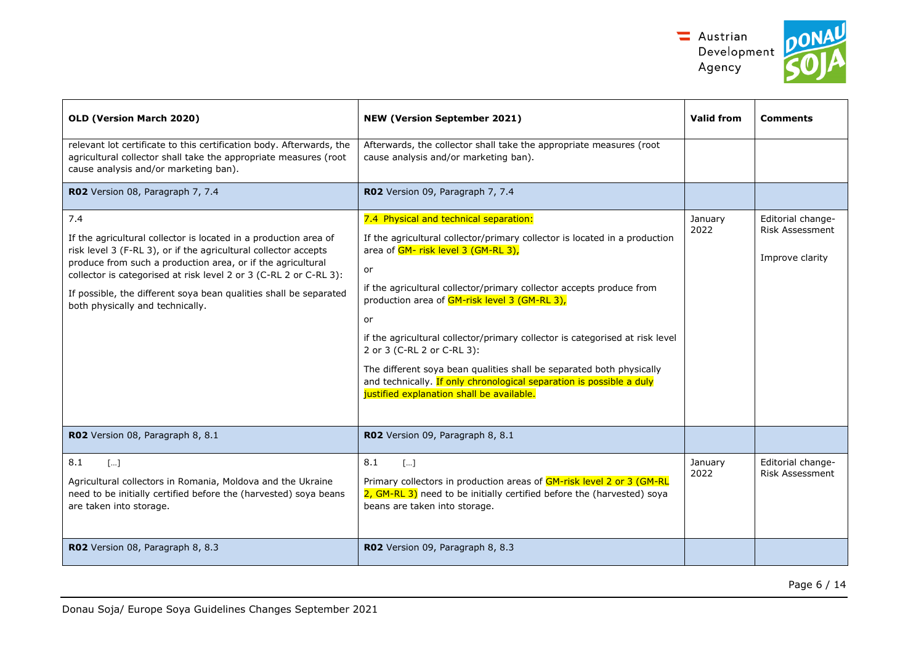

| OLD (Version March 2020)                                                                                                                                                                                                                                                                                                                                                                | <b>NEW (Version September 2021)</b>                                                                                                                                                                                                                                                                                                                                                                                                                                                                                                                                                                         | Valid from      | <b>Comments</b>                                                |
|-----------------------------------------------------------------------------------------------------------------------------------------------------------------------------------------------------------------------------------------------------------------------------------------------------------------------------------------------------------------------------------------|-------------------------------------------------------------------------------------------------------------------------------------------------------------------------------------------------------------------------------------------------------------------------------------------------------------------------------------------------------------------------------------------------------------------------------------------------------------------------------------------------------------------------------------------------------------------------------------------------------------|-----------------|----------------------------------------------------------------|
| relevant lot certificate to this certification body. Afterwards, the<br>agricultural collector shall take the appropriate measures (root<br>cause analysis and/or marketing ban).                                                                                                                                                                                                       | Afterwards, the collector shall take the appropriate measures (root<br>cause analysis and/or marketing ban).                                                                                                                                                                                                                                                                                                                                                                                                                                                                                                |                 |                                                                |
| RO2 Version 08, Paragraph 7, 7.4                                                                                                                                                                                                                                                                                                                                                        | RO2 Version 09, Paragraph 7, 7.4                                                                                                                                                                                                                                                                                                                                                                                                                                                                                                                                                                            |                 |                                                                |
| 7.4<br>If the agricultural collector is located in a production area of<br>risk level 3 (F-RL 3), or if the agricultural collector accepts<br>produce from such a production area, or if the agricultural<br>collector is categorised at risk level 2 or 3 (C-RL 2 or C-RL 3):<br>If possible, the different soya bean qualities shall be separated<br>both physically and technically. | 7.4 Physical and technical separation:<br>If the agricultural collector/primary collector is located in a production<br>area of GM- risk level 3 (GM-RL 3),<br>or<br>if the agricultural collector/primary collector accepts produce from<br>production area of GM-risk level 3 (GM-RL 3),<br>or<br>if the agricultural collector/primary collector is categorised at risk level<br>2 or 3 (C-RL 2 or C-RL 3):<br>The different soya bean qualities shall be separated both physically<br>and technically. If only chronological separation is possible a duly<br>justified explanation shall be available. | January<br>2022 | Editorial change-<br><b>Risk Assessment</b><br>Improve clarity |
| R02 Version 08, Paragraph 8, 8.1                                                                                                                                                                                                                                                                                                                                                        | RO2 Version 09, Paragraph 8, 8.1                                                                                                                                                                                                                                                                                                                                                                                                                                                                                                                                                                            |                 |                                                                |
| 8.1<br>$\lceil  \rceil$<br>Agricultural collectors in Romania, Moldova and the Ukraine<br>need to be initially certified before the (harvested) soya beans<br>are taken into storage.                                                                                                                                                                                                   | 8.1<br>$\lceil  \rceil$<br>Primary collectors in production areas of GM-risk level 2 or 3 (GM-RL<br>2, GM-RL 3) need to be initially certified before the (harvested) soya<br>beans are taken into storage.                                                                                                                                                                                                                                                                                                                                                                                                 | January<br>2022 | Editorial change-<br><b>Risk Assessment</b>                    |
| R02 Version 08, Paragraph 8, 8.3                                                                                                                                                                                                                                                                                                                                                        | RO2 Version 09, Paragraph 8, 8.3                                                                                                                                                                                                                                                                                                                                                                                                                                                                                                                                                                            |                 |                                                                |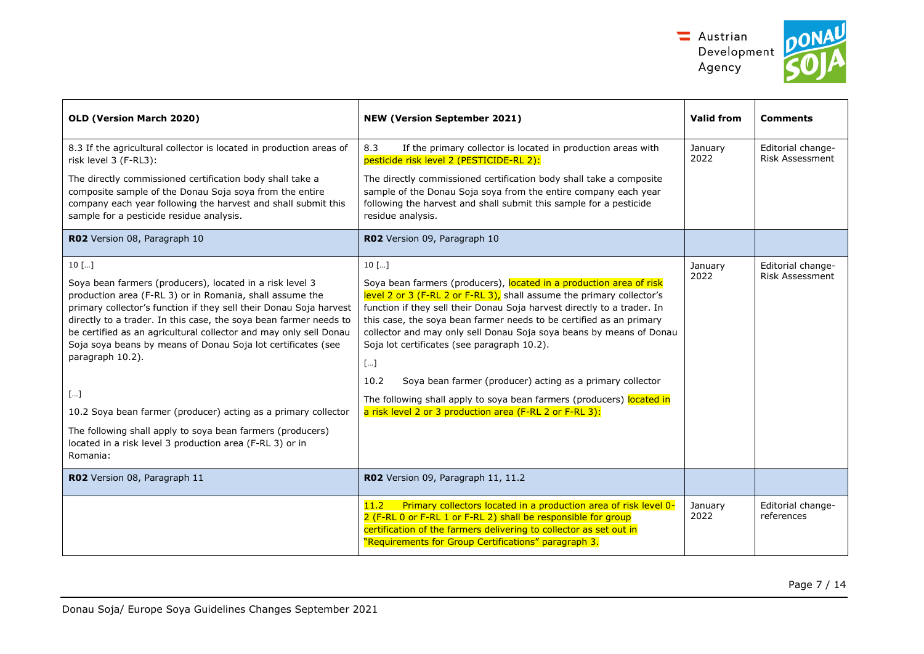



| <b>OLD (Version March 2020)</b>                                                                                                                                                                                                                                                                                                                                                                                                                                                                                                                                                                                                                          | <b>NEW (Version September 2021)</b>                                                                                                                                                                                                                                                                                                                                                                                                                                                                                                                                                                                                              | Valid from      | <b>Comments</b>                      |
|----------------------------------------------------------------------------------------------------------------------------------------------------------------------------------------------------------------------------------------------------------------------------------------------------------------------------------------------------------------------------------------------------------------------------------------------------------------------------------------------------------------------------------------------------------------------------------------------------------------------------------------------------------|--------------------------------------------------------------------------------------------------------------------------------------------------------------------------------------------------------------------------------------------------------------------------------------------------------------------------------------------------------------------------------------------------------------------------------------------------------------------------------------------------------------------------------------------------------------------------------------------------------------------------------------------------|-----------------|--------------------------------------|
| 8.3 If the agricultural collector is located in production areas of<br>risk level 3 (F-RL3):                                                                                                                                                                                                                                                                                                                                                                                                                                                                                                                                                             | If the primary collector is located in production areas with<br>8.3<br>pesticide risk level 2 (PESTICIDE-RL 2):                                                                                                                                                                                                                                                                                                                                                                                                                                                                                                                                  | January<br>2022 | Editorial change-<br>Risk Assessment |
| The directly commissioned certification body shall take a<br>composite sample of the Donau Soja soya from the entire<br>company each year following the harvest and shall submit this<br>sample for a pesticide residue analysis.                                                                                                                                                                                                                                                                                                                                                                                                                        | The directly commissioned certification body shall take a composite<br>sample of the Donau Soja soya from the entire company each year<br>following the harvest and shall submit this sample for a pesticide<br>residue analysis.                                                                                                                                                                                                                                                                                                                                                                                                                |                 |                                      |
| RO2 Version 08, Paragraph 10                                                                                                                                                                                                                                                                                                                                                                                                                                                                                                                                                                                                                             | RO2 Version 09, Paragraph 10                                                                                                                                                                                                                                                                                                                                                                                                                                                                                                                                                                                                                     |                 |                                      |
| $10$ []<br>Soya bean farmers (producers), located in a risk level 3<br>production area (F-RL 3) or in Romania, shall assume the<br>primary collector's function if they sell their Donau Soja harvest<br>directly to a trader. In this case, the soya bean farmer needs to<br>be certified as an agricultural collector and may only sell Donau<br>Soja soya beans by means of Donau Soja lot certificates (see<br>paragraph 10.2).<br>$[\dots]$<br>10.2 Soya bean farmer (producer) acting as a primary collector<br>The following shall apply to soya bean farmers (producers)<br>located in a risk level 3 production area (F-RL 3) or in<br>Romania: | $10$ []<br>Soya bean farmers (producers), located in a production area of risk<br>level 2 or 3 (F-RL 2 or F-RL 3), shall assume the primary collector's<br>function if they sell their Donau Soja harvest directly to a trader. In<br>this case, the soya bean farmer needs to be certified as an primary<br>collector and may only sell Donau Soja soya beans by means of Donau<br>Soja lot certificates (see paragraph 10.2).<br>$[]$<br>Soya bean farmer (producer) acting as a primary collector<br>10.2<br>The following shall apply to soya bean farmers (producers) located in<br>a risk level 2 or 3 production area (F-RL 2 or F-RL 3): | January<br>2022 | Editorial change-<br>Risk Assessment |
| RO2 Version 08, Paragraph 11                                                                                                                                                                                                                                                                                                                                                                                                                                                                                                                                                                                                                             | R02 Version 09, Paragraph 11, 11.2                                                                                                                                                                                                                                                                                                                                                                                                                                                                                                                                                                                                               |                 |                                      |
|                                                                                                                                                                                                                                                                                                                                                                                                                                                                                                                                                                                                                                                          | Primary collectors located in a production area of risk level 0-<br>11.2<br>2 (F-RL 0 or F-RL 1 or F-RL 2) shall be responsible for group<br>certification of the farmers delivering to collector as set out in<br>"Requirements for Group Certifications" paragraph 3.                                                                                                                                                                                                                                                                                                                                                                          | January<br>2022 | Editorial change-<br>references      |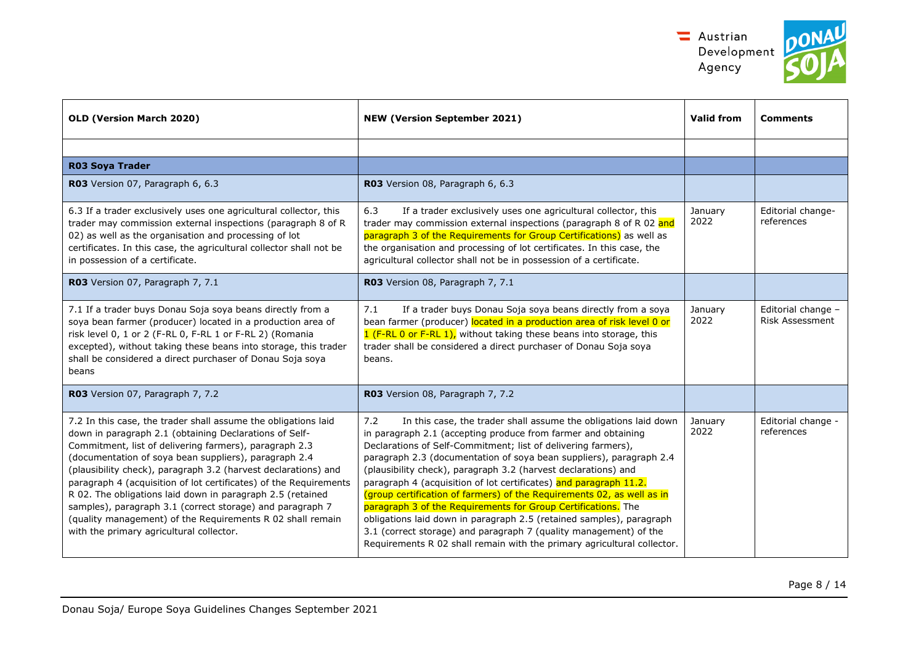

| nt! | $\bullet$ |  |
|-----|-----------|--|
|     |           |  |

| <b>OLD (Version March 2020)</b>                                                                                                                                                                                                                                                                                                                                                                                                                                                                                                                                                                                         | <b>NEW (Version September 2021)</b>                                                                                                                                                                                                                                                                                                                                                                                                                                                                                                                                                                                                                                                                                                                                                       | <b>Valid from</b> | <b>Comments</b>                              |
|-------------------------------------------------------------------------------------------------------------------------------------------------------------------------------------------------------------------------------------------------------------------------------------------------------------------------------------------------------------------------------------------------------------------------------------------------------------------------------------------------------------------------------------------------------------------------------------------------------------------------|-------------------------------------------------------------------------------------------------------------------------------------------------------------------------------------------------------------------------------------------------------------------------------------------------------------------------------------------------------------------------------------------------------------------------------------------------------------------------------------------------------------------------------------------------------------------------------------------------------------------------------------------------------------------------------------------------------------------------------------------------------------------------------------------|-------------------|----------------------------------------------|
|                                                                                                                                                                                                                                                                                                                                                                                                                                                                                                                                                                                                                         |                                                                                                                                                                                                                                                                                                                                                                                                                                                                                                                                                                                                                                                                                                                                                                                           |                   |                                              |
| <b>R03 Sova Trader</b>                                                                                                                                                                                                                                                                                                                                                                                                                                                                                                                                                                                                  |                                                                                                                                                                                                                                                                                                                                                                                                                                                                                                                                                                                                                                                                                                                                                                                           |                   |                                              |
| R03 Version 07, Paragraph 6, 6.3                                                                                                                                                                                                                                                                                                                                                                                                                                                                                                                                                                                        | R03 Version 08, Paragraph 6, 6.3                                                                                                                                                                                                                                                                                                                                                                                                                                                                                                                                                                                                                                                                                                                                                          |                   |                                              |
| 6.3 If a trader exclusively uses one agricultural collector, this<br>trader may commission external inspections (paragraph 8 of R<br>02) as well as the organisation and processing of lot<br>certificates. In this case, the agricultural collector shall not be<br>in possession of a certificate.                                                                                                                                                                                                                                                                                                                    | 6.3<br>If a trader exclusively uses one agricultural collector, this<br>trader may commission external inspections (paragraph 8 of R 02 and<br>paragraph 3 of the Requirements for Group Certifications) as well as<br>the organisation and processing of lot certificates. In this case, the<br>agricultural collector shall not be in possession of a certificate.                                                                                                                                                                                                                                                                                                                                                                                                                      | January<br>2022   | Editorial change-<br>references              |
| R03 Version 07, Paragraph 7, 7.1                                                                                                                                                                                                                                                                                                                                                                                                                                                                                                                                                                                        | R03 Version 08, Paragraph 7, 7.1                                                                                                                                                                                                                                                                                                                                                                                                                                                                                                                                                                                                                                                                                                                                                          |                   |                                              |
| 7.1 If a trader buys Donau Soja soya beans directly from a<br>soya bean farmer (producer) located in a production area of<br>risk level 0, 1 or 2 (F-RL 0, F-RL 1 or F-RL 2) (Romania<br>excepted), without taking these beans into storage, this trader<br>shall be considered a direct purchaser of Donau Soja soya<br>beans                                                                                                                                                                                                                                                                                          | If a trader buys Donau Soja soya beans directly from a soya<br>7.1<br>bean farmer (producer) located in a production area of risk level 0 or<br>1 (F-RL 0 or F-RL 1), without taking these beans into storage, this<br>trader shall be considered a direct purchaser of Donau Soja soya<br>beans.                                                                                                                                                                                                                                                                                                                                                                                                                                                                                         | January<br>2022   | Editorial change -<br><b>Risk Assessment</b> |
| R03 Version 07, Paragraph 7, 7.2                                                                                                                                                                                                                                                                                                                                                                                                                                                                                                                                                                                        | R03 Version 08, Paragraph 7, 7.2                                                                                                                                                                                                                                                                                                                                                                                                                                                                                                                                                                                                                                                                                                                                                          |                   |                                              |
| 7.2 In this case, the trader shall assume the obligations laid<br>down in paragraph 2.1 (obtaining Declarations of Self-<br>Commitment, list of delivering farmers), paragraph 2.3<br>(documentation of soya bean suppliers), paragraph 2.4<br>(plausibility check), paragraph 3.2 (harvest declarations) and<br>paragraph 4 (acquisition of lot certificates) of the Requirements<br>R 02. The obligations laid down in paragraph 2.5 (retained<br>samples), paragraph 3.1 (correct storage) and paragraph 7<br>(quality management) of the Requirements R 02 shall remain<br>with the primary agricultural collector. | 7.2<br>In this case, the trader shall assume the obligations laid down<br>in paragraph 2.1 (accepting produce from farmer and obtaining<br>Declarations of Self-Commitment; list of delivering farmers),<br>paragraph 2.3 (documentation of soya bean suppliers), paragraph 2.4<br>(plausibility check), paragraph 3.2 (harvest declarations) and<br>paragraph 4 (acquisition of lot certificates) and paragraph 11.2.<br>(group certification of farmers) of the Requirements 02, as well as in<br>paragraph 3 of the Requirements for Group Certifications. The<br>obligations laid down in paragraph 2.5 (retained samples), paragraph<br>3.1 (correct storage) and paragraph 7 (quality management) of the<br>Requirements R 02 shall remain with the primary agricultural collector. | January<br>2022   | Editorial change -<br>references             |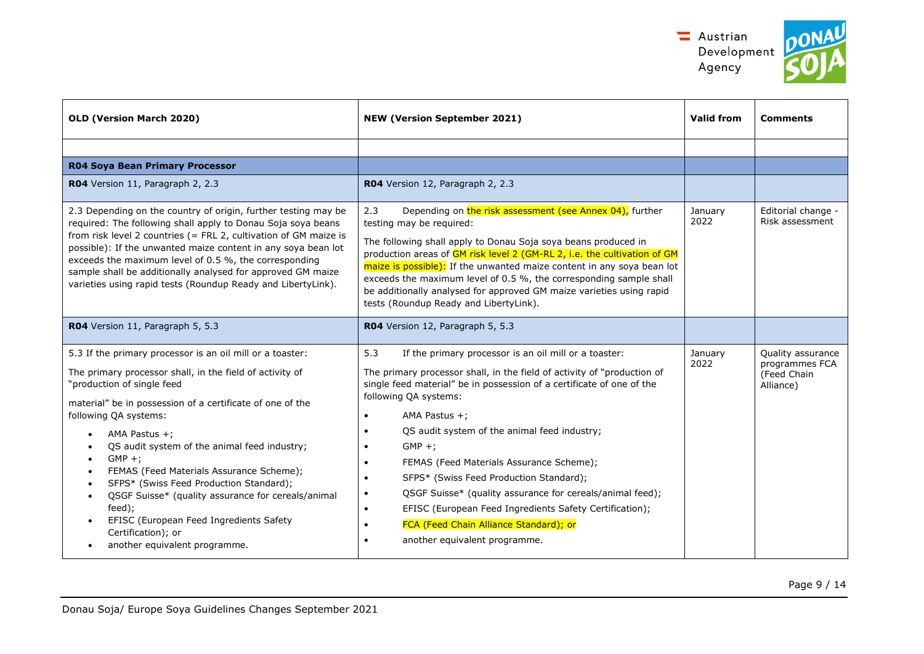

| OLD (Version March 2020)                                                                                                                                                                                                                                                                                                                                                                                                                                                                                                                                                                                                                                                       | <b>NEW (Version September 2021)</b>                                                                                                                                                                                                                                                                                                                                                                                                                                                                                                                                                                                                                                                              | <b>Valid from</b> | <b>Comments</b>                                                 |
|--------------------------------------------------------------------------------------------------------------------------------------------------------------------------------------------------------------------------------------------------------------------------------------------------------------------------------------------------------------------------------------------------------------------------------------------------------------------------------------------------------------------------------------------------------------------------------------------------------------------------------------------------------------------------------|--------------------------------------------------------------------------------------------------------------------------------------------------------------------------------------------------------------------------------------------------------------------------------------------------------------------------------------------------------------------------------------------------------------------------------------------------------------------------------------------------------------------------------------------------------------------------------------------------------------------------------------------------------------------------------------------------|-------------------|-----------------------------------------------------------------|
|                                                                                                                                                                                                                                                                                                                                                                                                                                                                                                                                                                                                                                                                                |                                                                                                                                                                                                                                                                                                                                                                                                                                                                                                                                                                                                                                                                                                  |                   |                                                                 |
| <b>R04 Soya Bean Primary Processor</b>                                                                                                                                                                                                                                                                                                                                                                                                                                                                                                                                                                                                                                         |                                                                                                                                                                                                                                                                                                                                                                                                                                                                                                                                                                                                                                                                                                  |                   |                                                                 |
| R04 Version 11, Paragraph 2, 2.3                                                                                                                                                                                                                                                                                                                                                                                                                                                                                                                                                                                                                                               | R04 Version 12, Paragraph 2, 2.3                                                                                                                                                                                                                                                                                                                                                                                                                                                                                                                                                                                                                                                                 |                   |                                                                 |
| 2.3 Depending on the country of origin, further testing may be<br>required: The following shall apply to Donau Soja soya beans<br>from risk level 2 countries (= FRL 2, cultivation of GM maize is<br>possible): If the unwanted maize content in any soya bean lot<br>exceeds the maximum level of 0.5 %, the corresponding<br>sample shall be additionally analysed for approved GM maize<br>varieties using rapid tests (Roundup Ready and LibertyLink).                                                                                                                                                                                                                    | Depending on the risk assessment (see Annex 04), further<br>2.3<br>testing may be required:<br>The following shall apply to Donau Soja soya beans produced in<br>production areas of GM risk level 2 (GM-RL 2, i.e. the cultivation of GM<br>maize is possible): If the unwanted maize content in any soya bean lot<br>exceeds the maximum level of 0.5 %, the corresponding sample shall<br>be additionally analysed for approved GM maize varieties using rapid<br>tests (Roundup Ready and LibertyLink).                                                                                                                                                                                      | January<br>2022   | Editorial change -<br>Risk assessment                           |
| R04 Version 11, Paragraph 5, 5.3                                                                                                                                                                                                                                                                                                                                                                                                                                                                                                                                                                                                                                               | R04 Version 12, Paragraph 5, 5.3                                                                                                                                                                                                                                                                                                                                                                                                                                                                                                                                                                                                                                                                 |                   |                                                                 |
| 5.3 If the primary processor is an oil mill or a toaster:<br>The primary processor shall, in the field of activity of<br>"production of single feed<br>material" be in possession of a certificate of one of the<br>following QA systems:<br>AMA Pastus $+$ ;<br>$\bullet$<br>QS audit system of the animal feed industry;<br>$GMP +$ :<br>$\bullet$<br>FEMAS (Feed Materials Assurance Scheme);<br>$\bullet$<br>SFPS* (Swiss Feed Production Standard);<br>$\bullet$<br>QSGF Suisse* (quality assurance for cereals/animal<br>$\bullet$<br>feed);<br>EFISC (European Feed Ingredients Safety<br>$\bullet$<br>Certification); or<br>another equivalent programme.<br>$\bullet$ | 5.3<br>If the primary processor is an oil mill or a toaster:<br>The primary processor shall, in the field of activity of "production of<br>single feed material" be in possession of a certificate of one of the<br>following QA systems:<br>AMA Pastus $+$ ;<br>$\bullet$<br>QS audit system of the animal feed industry;<br>$\bullet$<br>$GMP +$<br>$\bullet$<br>FEMAS (Feed Materials Assurance Scheme);<br>$\bullet$<br>SFPS* (Swiss Feed Production Standard);<br>$\bullet$<br>QSGF Suisse* (quality assurance for cereals/animal feed);<br>EFISC (European Feed Ingredients Safety Certification);<br>$\bullet$<br>FCA (Feed Chain Alliance Standard); or<br>another equivalent programme. | January<br>2022   | Quality assurance<br>programmes FCA<br>(Feed Chain<br>Alliance) |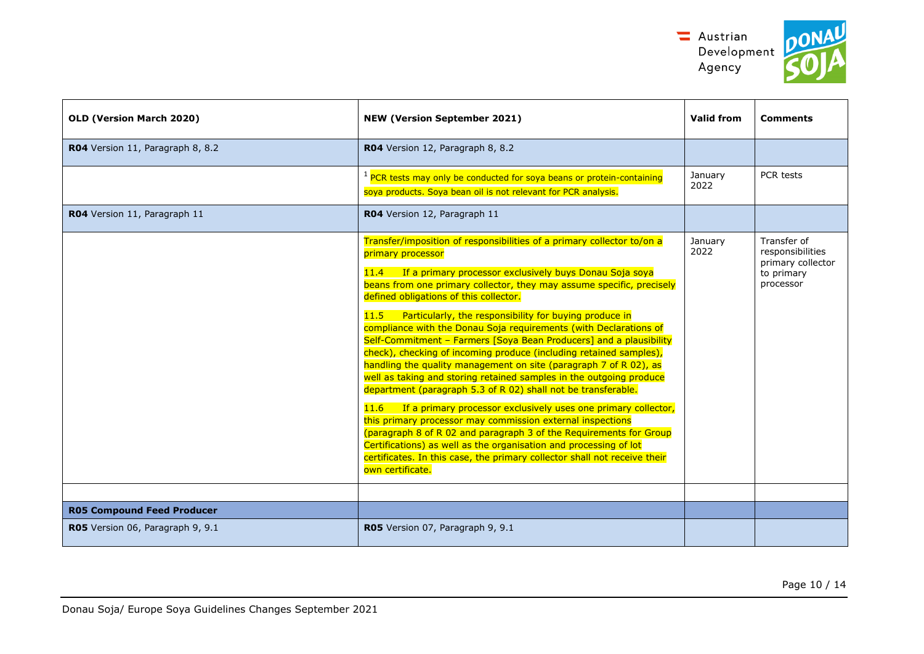



| OLD (Version March 2020)          | <b>NEW (Version September 2021)</b>                                                                                                                                                                                                                                                                                                                                                                                                                                                                                                                                                                                                                                                                                                                                                                                                                                                                                                                                                                                                                                                                                                                                   | <b>Valid from</b> | <b>Comments</b>                                                                 |
|-----------------------------------|-----------------------------------------------------------------------------------------------------------------------------------------------------------------------------------------------------------------------------------------------------------------------------------------------------------------------------------------------------------------------------------------------------------------------------------------------------------------------------------------------------------------------------------------------------------------------------------------------------------------------------------------------------------------------------------------------------------------------------------------------------------------------------------------------------------------------------------------------------------------------------------------------------------------------------------------------------------------------------------------------------------------------------------------------------------------------------------------------------------------------------------------------------------------------|-------------------|---------------------------------------------------------------------------------|
| R04 Version 11, Paragraph 8, 8.2  | R04 Version 12, Paragraph 8, 8.2                                                                                                                                                                                                                                                                                                                                                                                                                                                                                                                                                                                                                                                                                                                                                                                                                                                                                                                                                                                                                                                                                                                                      |                   |                                                                                 |
|                                   | <sup>1</sup> PCR tests may only be conducted for soya beans or protein-containing<br>soya products. Soya bean oil is not relevant for PCR analysis.                                                                                                                                                                                                                                                                                                                                                                                                                                                                                                                                                                                                                                                                                                                                                                                                                                                                                                                                                                                                                   | January<br>2022   | PCR tests                                                                       |
| R04 Version 11, Paragraph 11      | R04 Version 12, Paragraph 11                                                                                                                                                                                                                                                                                                                                                                                                                                                                                                                                                                                                                                                                                                                                                                                                                                                                                                                                                                                                                                                                                                                                          |                   |                                                                                 |
|                                   | Transfer/imposition of responsibilities of a primary collector to/on a<br>primary processor<br>If a primary processor exclusively buys Donau Soja soya<br>11.4<br>beans from one primary collector, they may assume specific, precisely<br>defined obligations of this collector.<br>Particularly, the responsibility for buying produce in<br>11.5<br>compliance with the Donau Soja requirements (with Declarations of<br>Self-Commitment - Farmers [Soya Bean Producers] and a plausibility<br>check), checking of incoming produce (including retained samples),<br>handling the quality management on site (paragraph 7 of R 02), as<br>well as taking and storing retained samples in the outgoing produce<br>department (paragraph 5.3 of R 02) shall not be transferable.<br>If a primary processor exclusively uses one primary collector,<br>11.6<br>this primary processor may commission external inspections<br>(paragraph 8 of R 02 and paragraph 3 of the Requirements for Group<br>Certifications) as well as the organisation and processing of lot<br>certificates. In this case, the primary collector shall not receive their<br>own certificate. | January<br>2022   | Transfer of<br>responsibilities<br>primary collector<br>to primary<br>processor |
| <b>R05 Compound Feed Producer</b> |                                                                                                                                                                                                                                                                                                                                                                                                                                                                                                                                                                                                                                                                                                                                                                                                                                                                                                                                                                                                                                                                                                                                                                       |                   |                                                                                 |
| R05 Version 06, Paragraph 9, 9.1  | RO5 Version 07, Paragraph 9, 9.1                                                                                                                                                                                                                                                                                                                                                                                                                                                                                                                                                                                                                                                                                                                                                                                                                                                                                                                                                                                                                                                                                                                                      |                   |                                                                                 |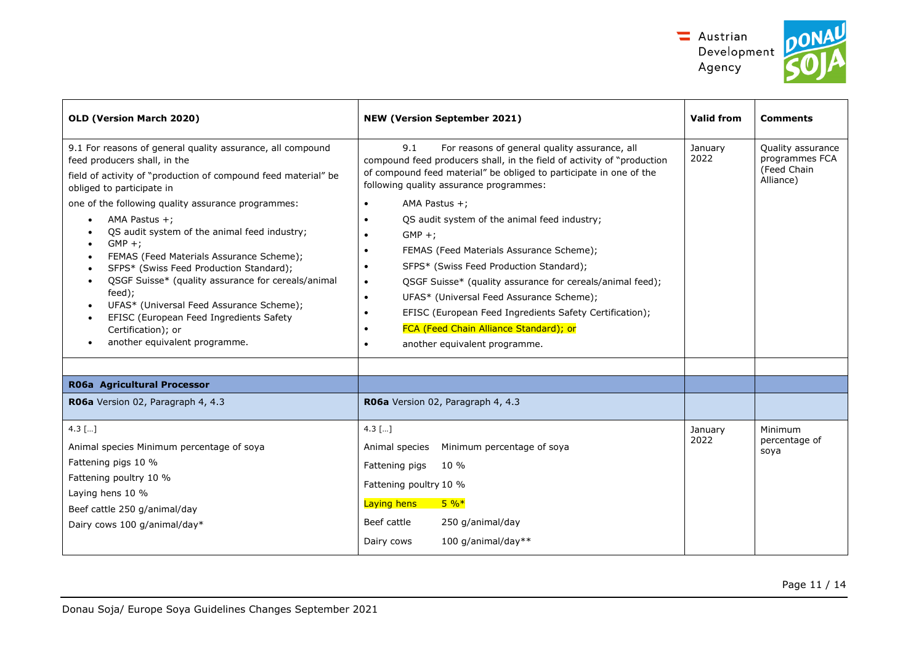



| OLD (Version March 2020)                                                                                                                                                                                                                                                                                                                                                                                                                                                                                                                                                                                                                                                   | <b>NEW (Version September 2021)</b>                                                                                                                                                                                                                                                                                                                                                                                                                                                                                                                                                                                                                                                                         | <b>Valid from</b> | <b>Comments</b>                                                 |
|----------------------------------------------------------------------------------------------------------------------------------------------------------------------------------------------------------------------------------------------------------------------------------------------------------------------------------------------------------------------------------------------------------------------------------------------------------------------------------------------------------------------------------------------------------------------------------------------------------------------------------------------------------------------------|-------------------------------------------------------------------------------------------------------------------------------------------------------------------------------------------------------------------------------------------------------------------------------------------------------------------------------------------------------------------------------------------------------------------------------------------------------------------------------------------------------------------------------------------------------------------------------------------------------------------------------------------------------------------------------------------------------------|-------------------|-----------------------------------------------------------------|
| 9.1 For reasons of general quality assurance, all compound<br>feed producers shall, in the<br>field of activity of "production of compound feed material" be<br>obliged to participate in<br>one of the following quality assurance programmes:<br>AMA Pastus $+$ ;<br>QS audit system of the animal feed industry;<br>$GMP +$<br>FEMAS (Feed Materials Assurance Scheme);<br>$\bullet$<br>SFPS* (Swiss Feed Production Standard);<br>QSGF Suisse* (quality assurance for cereals/animal<br>$\bullet$<br>feed);<br>UFAS* (Universal Feed Assurance Scheme);<br>EFISC (European Feed Ingredients Safety<br>$\bullet$<br>Certification); or<br>another equivalent programme. | For reasons of general quality assurance, all<br>9.1<br>compound feed producers shall, in the field of activity of "production<br>of compound feed material" be obliged to participate in one of the<br>following quality assurance programmes:<br>AMA Pastus $+$ :<br>$\bullet$<br>QS audit system of the animal feed industry;<br>$GMP +$<br>FEMAS (Feed Materials Assurance Scheme);<br>SFPS* (Swiss Feed Production Standard);<br>QSGF Suisse* (quality assurance for cereals/animal feed);<br>$\bullet$<br>UFAS* (Universal Feed Assurance Scheme);<br>$\bullet$<br>EFISC (European Feed Ingredients Safety Certification);<br>FCA (Feed Chain Alliance Standard); or<br>another equivalent programme. | January<br>2022   | Quality assurance<br>programmes FCA<br>(Feed Chain<br>Alliance) |
|                                                                                                                                                                                                                                                                                                                                                                                                                                                                                                                                                                                                                                                                            |                                                                                                                                                                                                                                                                                                                                                                                                                                                                                                                                                                                                                                                                                                             |                   |                                                                 |
| R06a Agricultural Processor                                                                                                                                                                                                                                                                                                                                                                                                                                                                                                                                                                                                                                                |                                                                                                                                                                                                                                                                                                                                                                                                                                                                                                                                                                                                                                                                                                             |                   |                                                                 |
| R06a Version 02, Paragraph 4, 4.3                                                                                                                                                                                                                                                                                                                                                                                                                                                                                                                                                                                                                                          | RO6a Version 02, Paragraph 4, 4.3                                                                                                                                                                                                                                                                                                                                                                                                                                                                                                                                                                                                                                                                           |                   |                                                                 |
| $4.3$ []<br>Animal species Minimum percentage of soya<br>Fattening pigs 10 %<br>Fattening poultry 10 %<br>Laying hens 10 %<br>Beef cattle 250 g/animal/day<br>Dairy cows 100 g/animal/day*                                                                                                                                                                                                                                                                                                                                                                                                                                                                                 | 4.3 $[]$<br>Minimum percentage of soya<br>Animal species<br>Fattening pigs<br>10 %<br>Fattening poultry 10 %<br>Laying hens<br>$5\%*$<br>Beef cattle<br>250 g/animal/day<br>100 g/animal/day**<br>Dairy cows                                                                                                                                                                                                                                                                                                                                                                                                                                                                                                | January<br>2022   | Minimum<br>percentage of<br>soya                                |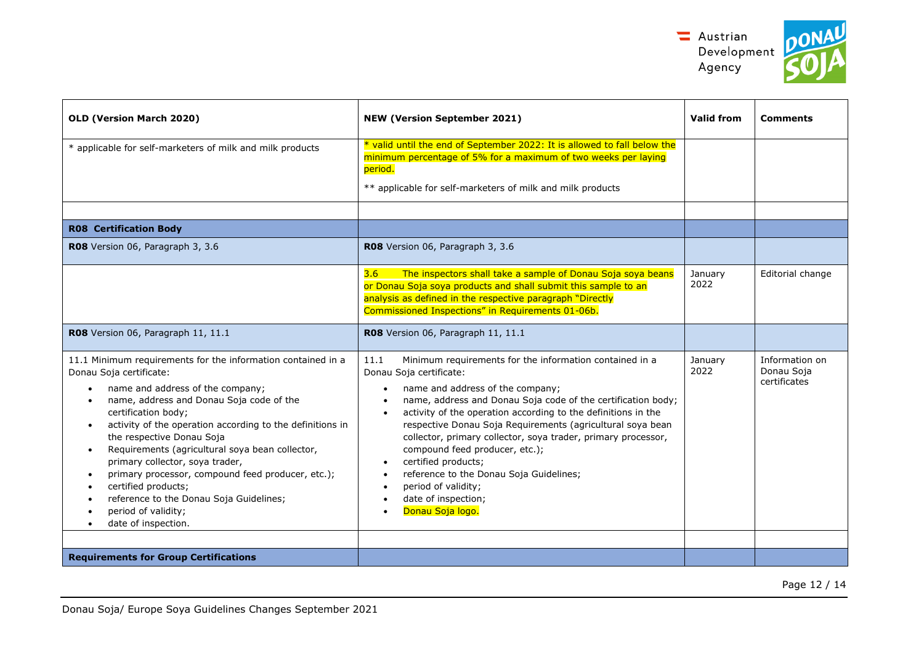

| OLD (Version March 2020)                                                                                                                                                                                                                                                                                                                                                                                                                                                                                                                                                                   | <b>NEW (Version September 2021)</b>                                                                                                                                                                                                                                                                                                                                                                                                                                                                                                                                               | Valid from      | <b>Comments</b>                              |
|--------------------------------------------------------------------------------------------------------------------------------------------------------------------------------------------------------------------------------------------------------------------------------------------------------------------------------------------------------------------------------------------------------------------------------------------------------------------------------------------------------------------------------------------------------------------------------------------|-----------------------------------------------------------------------------------------------------------------------------------------------------------------------------------------------------------------------------------------------------------------------------------------------------------------------------------------------------------------------------------------------------------------------------------------------------------------------------------------------------------------------------------------------------------------------------------|-----------------|----------------------------------------------|
| * applicable for self-marketers of milk and milk products                                                                                                                                                                                                                                                                                                                                                                                                                                                                                                                                  | * valid until the end of September 2022: It is allowed to fall below the<br>minimum percentage of 5% for a maximum of two weeks per laying<br>period.<br>** applicable for self-marketers of milk and milk products                                                                                                                                                                                                                                                                                                                                                               |                 |                                              |
|                                                                                                                                                                                                                                                                                                                                                                                                                                                                                                                                                                                            |                                                                                                                                                                                                                                                                                                                                                                                                                                                                                                                                                                                   |                 |                                              |
| <b>R08 Certification Body</b>                                                                                                                                                                                                                                                                                                                                                                                                                                                                                                                                                              |                                                                                                                                                                                                                                                                                                                                                                                                                                                                                                                                                                                   |                 |                                              |
| RO8 Version 06, Paragraph 3, 3.6                                                                                                                                                                                                                                                                                                                                                                                                                                                                                                                                                           | RO8 Version 06, Paragraph 3, 3.6                                                                                                                                                                                                                                                                                                                                                                                                                                                                                                                                                  |                 |                                              |
|                                                                                                                                                                                                                                                                                                                                                                                                                                                                                                                                                                                            | The inspectors shall take a sample of Donau Soja soya beans<br>3.6<br>or Donau Soja soya products and shall submit this sample to an<br>analysis as defined in the respective paragraph "Directly<br>Commissioned Inspections" in Requirements 01-06b.                                                                                                                                                                                                                                                                                                                            | January<br>2022 | Editorial change                             |
| R08 Version 06, Paragraph 11, 11.1                                                                                                                                                                                                                                                                                                                                                                                                                                                                                                                                                         | R08 Version 06, Paragraph 11, 11.1                                                                                                                                                                                                                                                                                                                                                                                                                                                                                                                                                |                 |                                              |
| 11.1 Minimum requirements for the information contained in a<br>Donau Soja certificate:<br>name and address of the company;<br>name, address and Donau Soja code of the<br>$\bullet$<br>certification body;<br>activity of the operation according to the definitions in<br>$\bullet$<br>the respective Donau Soja<br>Requirements (agricultural soya bean collector,<br>primary collector, soya trader,<br>primary processor, compound feed producer, etc.);<br>certified products;<br>reference to the Donau Soja Guidelines;<br>period of validity;<br>date of inspection.<br>$\bullet$ | 11.1<br>Minimum requirements for the information contained in a<br>Donau Soja certificate:<br>name and address of the company;<br>name, address and Donau Soja code of the certification body;<br>activity of the operation according to the definitions in the<br>$\bullet$<br>respective Donau Soja Requirements (agricultural soya bean<br>collector, primary collector, soya trader, primary processor,<br>compound feed producer, etc.);<br>certified products;<br>reference to the Donau Soja Guidelines;<br>period of validity;<br>date of inspection;<br>Donau Soja logo. | January<br>2022 | Information on<br>Donau Soja<br>certificates |
| <b>Requirements for Group Certifications</b>                                                                                                                                                                                                                                                                                                                                                                                                                                                                                                                                               |                                                                                                                                                                                                                                                                                                                                                                                                                                                                                                                                                                                   |                 |                                              |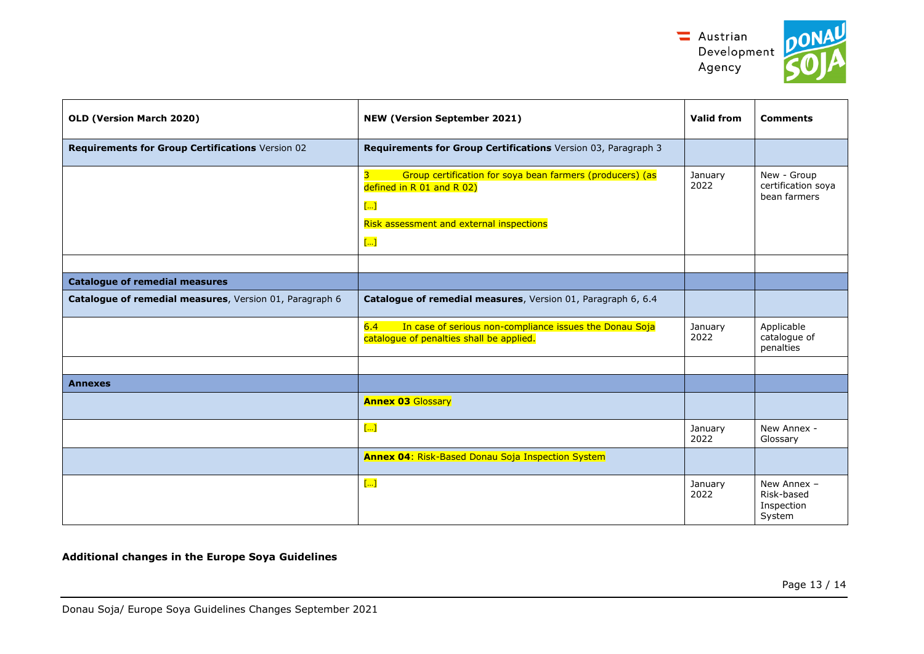

| OLD (Version March 2020)                                | <b>NEW (Version September 2021)</b>                                                                            | <b>Valid from</b> | <b>Comments</b>                                   |
|---------------------------------------------------------|----------------------------------------------------------------------------------------------------------------|-------------------|---------------------------------------------------|
| Requirements for Group Certifications Version 02        | Requirements for Group Certifications Version 03, Paragraph 3                                                  |                   |                                                   |
|                                                         | Group certification for soya bean farmers (producers) (as<br>3<br>defined in R 01 and R 02)<br>$\overline{[]}$ | January<br>2022   | New - Group<br>certification soya<br>bean farmers |
|                                                         | Risk assessment and external inspections<br>$\left[\ldots\right]$                                              |                   |                                                   |
|                                                         |                                                                                                                |                   |                                                   |
| <b>Catalogue of remedial measures</b>                   |                                                                                                                |                   |                                                   |
| Catalogue of remedial measures, Version 01, Paragraph 6 | Catalogue of remedial measures, Version 01, Paragraph 6, 6.4                                                   |                   |                                                   |
|                                                         | 6.4<br>In case of serious non-compliance issues the Donau Soja<br>catalogue of penalties shall be applied.     | January<br>2022   | Applicable<br>catalogue of<br>penalties           |
|                                                         |                                                                                                                |                   |                                                   |
| <b>Annexes</b>                                          |                                                                                                                |                   |                                                   |
|                                                         | <b>Annex 03 Glossary</b>                                                                                       |                   |                                                   |
|                                                         | $\left[\ldots\right]$                                                                                          | January<br>2022   | New Annex -<br>Glossary                           |
|                                                         | <b>Annex 04: Risk-Based Donau Soja Inspection System</b>                                                       |                   |                                                   |
|                                                         | $\overline{[]}$                                                                                                | January<br>2022   | New Annex -<br>Risk-based<br>Inspection<br>System |

**Additional changes in the Europe Soya Guidelines**